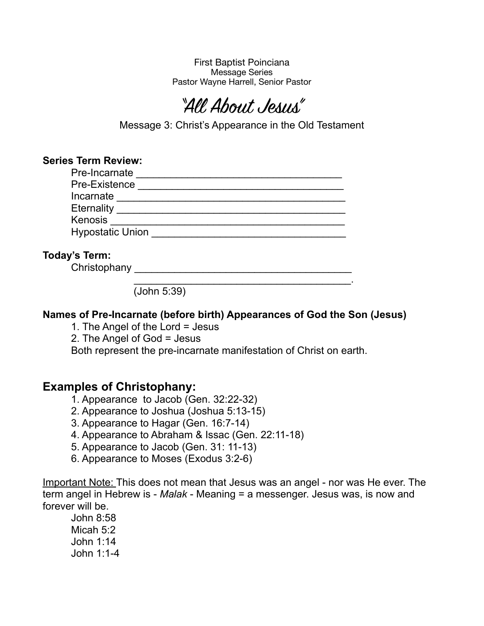First Baptist Poinciana Message Series Pastor Wayne Harrell, Senior Pastor

# "All About Jesus"

Message 3: Christ's Appearance in the Old Testament

| <b>Series Term Review:</b> | Pre-Incarnate           |  |  |
|----------------------------|-------------------------|--|--|
|                            | Pre-Existence           |  |  |
| Incarnate                  |                         |  |  |
| <b>Eternality</b>          |                         |  |  |
| Kenosis                    |                         |  |  |
|                            | <b>Hypostatic Union</b> |  |  |
|                            |                         |  |  |
| Today's Term:              |                         |  |  |

Christophany \_\_\_\_\_\_\_\_\_\_\_\_\_\_\_\_\_\_\_\_\_\_\_\_\_\_\_\_\_\_\_\_\_\_\_\_\_\_

 $\mathcal{L}_\mathcal{L}$  , and the contract of the contract of the contract of the contract of the contract of the contract of the contract of the contract of the contract of the contract of the contract of the contract of the cont (John 5:39)

#### **Names of Pre-Incarnate (before birth) Appearances of God the Son (Jesus)**

1. The Angel of the Lord = Jesus

2. The Angel of God = Jesus

Both represent the pre-incarnate manifestation of Christ on earth.

#### **Examples of Christophany:**

1. Appearance to Jacob (Gen. 32:22-32)

- 2. Appearance to Joshua (Joshua 5:13-15)
- 3. Appearance to Hagar (Gen. 16:7-14)
- 4. Appearance to Abraham & Issac (Gen. 22:11-18)
- 5. Appearance to Jacob (Gen. 31: 11-13)
- 6. Appearance to Moses (Exodus 3:2-6)

Important Note: This does not mean that Jesus was an angel - nor was He ever. The term angel in Hebrew is - *Malak* - Meaning = a messenger. Jesus was, is now and forever will be.

John 8:58 Micah 5:2 John 1:14 John 1:1-4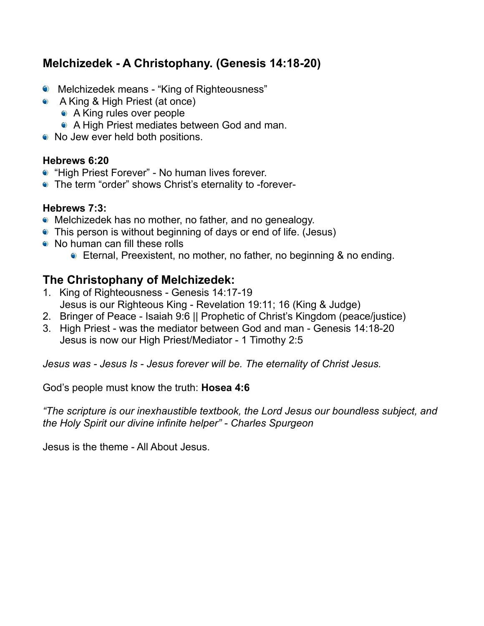## **Melchizedek - A Christophany. (Genesis 14:18-20)**

- Melchizedek means "King of Righteousness"
- A King & High Priest (at once)
	- A King rules over people
	- A High Priest mediates between God and man.
- No Jew ever held both positions.

#### **Hebrews 6:20**

- "High Priest Forever" No human lives forever.
- The term "order" shows Christ's eternality to -forever-

#### **Hebrews 7:3:**

- Melchizedek has no mother, no father, and no genealogy.
- This person is without beginning of days or end of life. (Jesus)
- No human can fill these rolls
	- Eternal, Preexistent, no mother, no father, no beginning & no ending.

## **The Christophany of Melchizedek:**

- 1. King of Righteousness Genesis 14:17-19 Jesus is our Righteous King - Revelation 19:11; 16 (King & Judge)
- 2. Bringer of Peace Isaiah 9:6 || Prophetic of Christ's Kingdom (peace/justice)
- 3. High Priest was the mediator between God and man Genesis 14:18-20 Jesus is now our High Priest/Mediator - 1 Timothy 2:5

*Jesus was - Jesus Is - Jesus forever will be. The eternality of Christ Jesus.* 

God's people must know the truth: **Hosea 4:6** 

*"The scripture is our inexhaustible textbook, the Lord Jesus our boundless subject, and the Holy Spirit our divine infinite helper" - Charles Spurgeon* 

Jesus is the theme - All About Jesus.